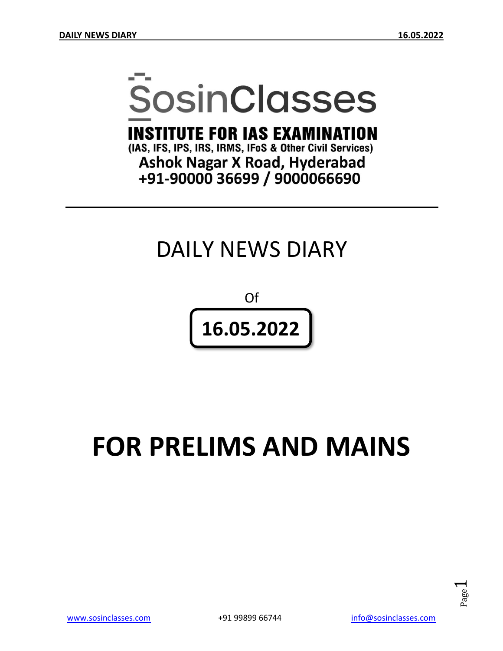# **SosinClasses**

**INSTITUTE FOR IAS EXAMINATION** 

(IAS, IFS, IPS, IRS, IRMS, IFoS & Other Civil Services) **Ashok Nagar X Road, Hyderabad** +91-90000 36699 / 9000066690

# DAILY NEWS DIARY

Of **16.05.2022**

# **FOR PRELIMS AND MAINS**

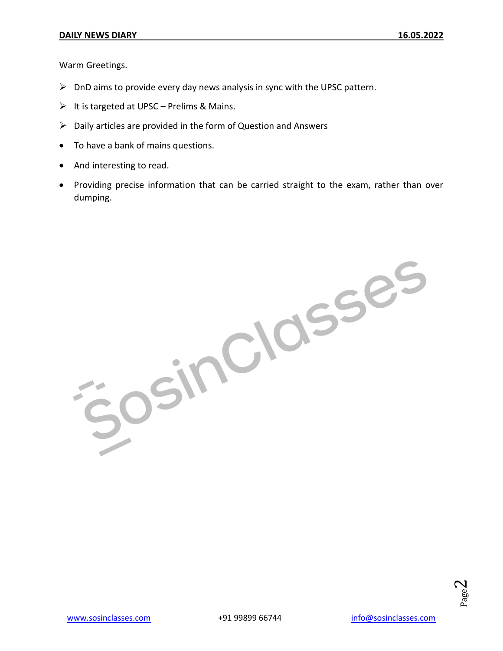Warm Greetings.

- $\triangleright$  DnD aims to provide every day news analysis in sync with the UPSC pattern.
- $\triangleright$  It is targeted at UPSC Prelims & Mains.
- $\triangleright$  Daily articles are provided in the form of Question and Answers
- To have a bank of mains questions.
- And interesting to read.
- Providing precise information that can be carried straight to the exam, rather than over dumping.

JOSINCIOSSES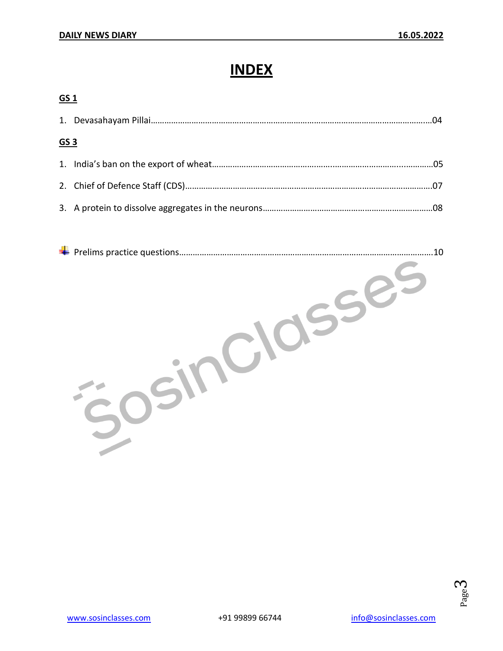**GS 1**

# **INDEX**

| ד כם            |  |
|-----------------|--|
|                 |  |
| GS <sub>3</sub> |  |
|                 |  |
|                 |  |
|                 |  |
|                 |  |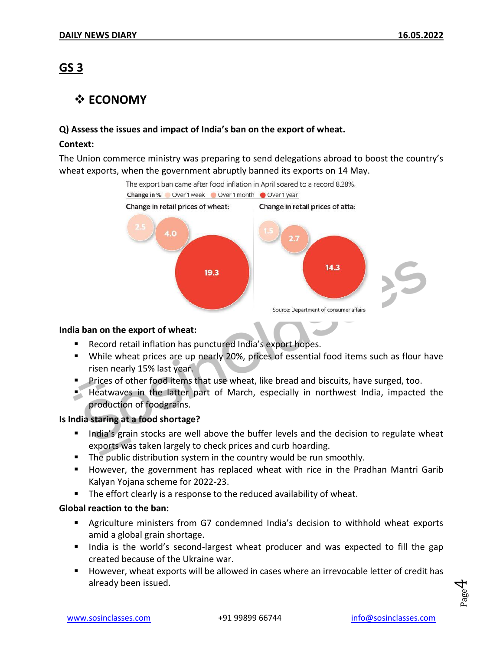### **GS 3**

#### **☆ ECONOMY**

#### **Q) Assess the issues and impact of India's ban on the export of wheat.**

#### **Context:**

The Union commerce ministry was preparing to send delegations abroad to boost the country's wheat exports, when the government abruptly banned its exports on 14 May.



#### **India ban on the export of wheat:**

- Record retail inflation has punctured India's export hopes.
- While wheat prices are up nearly 20%, prices of essential food items such as flour have risen nearly 15% last year.
- **Prices of other food items that use wheat, like bread and biscuits, have surged, too.**
- Heatwaves in the latter part of March, especially in northwest India, impacted the production of foodgrains.

#### **Is India staring at a food shortage?**

- India's grain stocks are well above the buffer levels and the decision to regulate wheat exports was taken largely to check prices and curb hoarding.
- **The public distribution system in the country would be run smoothly.**
- **However, the government has replaced wheat with rice in the Pradhan Mantri Garib** Kalyan Yojana scheme for 2022-23.
- **The effort clearly is a response to the reduced availability of wheat.**

#### **Global reaction to the ban:**

- Agriculture ministers from G7 condemned India's decision to withhold wheat exports amid a global grain shortage.
- India is the world's second-largest wheat producer and was expected to fill the gap created because of the Ukraine war.
- **However, wheat exports will be allowed in cases where an irrevocable letter of credit has** already been issued.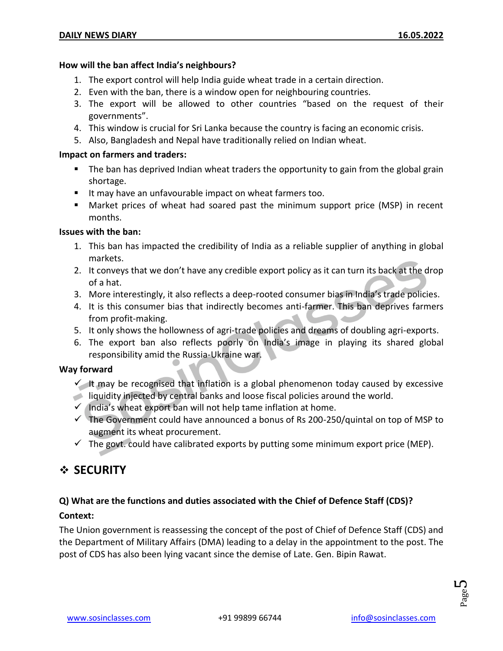#### **How will the ban affect India's neighbours?**

- 1. The export control will help India guide wheat trade in a certain direction.
- 2. Even with the ban, there is a window open for neighbouring countries.
- 3. The export will be allowed to other countries "based on the request of their governments".
- 4. This window is crucial for Sri Lanka because the country is facing an economic crisis.
- 5. Also, Bangladesh and Nepal have traditionally relied on Indian wheat.

#### **Impact on farmers and traders:**

- **The ban has deprived Indian wheat traders the opportunity to gain from the global grain** shortage.
- It may have an unfavourable impact on wheat farmers too.
- Market prices of wheat had soared past the minimum support price (MSP) in recent months.

#### **Issues with the ban:**

- 1. This ban has impacted the credibility of India as a reliable supplier of anything in global markets.
- 2. It conveys that we don't have any credible export policy as it can turn its back at the drop of a hat.
- 3. More interestingly, it also reflects a deep-rooted consumer bias in India's trade policies.
- 4. It is this consumer bias that indirectly becomes anti-farmer. This ban deprives farmers from profit-making.
- 5. It only shows the hollowness of agri-trade policies and dreams of doubling agri-exports.
- 6. The export ban also reflects poorly on India's image in playing its shared global responsibility amid the Russia-Ukraine war.

#### **Way forward**

- It may be recognised that inflation is a global phenomenon today caused by excessive
- liquidity injected by central banks and loose fiscal policies around the world.
- $\checkmark$  India's wheat export ban will not help tame inflation at home.
- $\checkmark$  The Government could have announced a bonus of Rs 200-250/quintal on top of MSP to augment its wheat procurement.
- $\checkmark$  The govt. could have calibrated exports by putting some minimum export price (MEP).

#### **SECURITY**

#### **Q) What are the functions and duties associated with the Chief of Defence Staff (CDS)? Context:**

The Union government is reassessing the concept of the post of Chief of Defence Staff (CDS) and the Department of Military Affairs (DMA) leading to a delay in the appointment to the post. The post of CDS has also been lying vacant since the demise of Late. Gen. Bipin Rawat.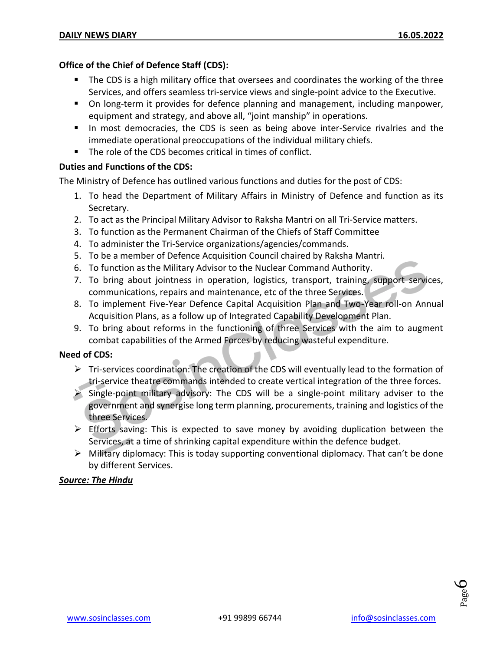#### **Office of the Chief of Defence Staff (CDS):**

- The CDS is a high military office that oversees and coordinates the working of the three Services, and offers seamless tri-service views and single-point advice to the Executive.
- On long-term it provides for defence planning and management, including manpower, equipment and strategy, and above all, "joint manship" in operations.
- In most democracies, the CDS is seen as being above inter-Service rivalries and the immediate operational preoccupations of the individual military chiefs.
- The role of the CDS becomes critical in times of conflict.

#### **Duties and Functions of the CDS:**

The Ministry of Defence has outlined various functions and duties for the post of CDS:

- 1. To head the Department of Military Affairs in Ministry of Defence and function as its Secretary.
- 2. To act as the Principal Military Advisor to Raksha Mantri on all Tri-Service matters.
- 3. To function as the Permanent Chairman of the Chiefs of Staff Committee
- 4. To administer the Tri-Service organizations/agencies/commands.
- 5. To be a member of Defence Acquisition Council chaired by Raksha Mantri.
- 6. To function as the Military Advisor to the Nuclear Command Authority.
- 7. To bring about jointness in operation, logistics, transport, training, support services, communications, repairs and maintenance, etc of the three Services.
- 8. To implement Five-Year Defence Capital Acquisition Plan and Two-Year roll-on Annual Acquisition Plans, as a follow up of Integrated Capability Development Plan.
- 9. To bring about reforms in the functioning of three Services with the aim to augment combat capabilities of the Armed Forces by reducing wasteful expenditure.

#### **Need of CDS:**

- $\triangleright$  Tri-services coordination: The creation of the CDS will eventually lead to the formation of tri-service theatre commands intended to create vertical integration of the three forces.
- $\triangleright$  Single-point military advisory: The CDS will be a single-point military adviser to the government and synergise long term planning, procurements, training and logistics of the three Services.
- $\triangleright$  Efforts saving: This is expected to save money by avoiding duplication between the Services, at a time of shrinking capital expenditure within the defence budget.
- $\triangleright$  Military diplomacy: This is today supporting conventional diplomacy. That can't be done by different Services.

#### *Source: The Hindu*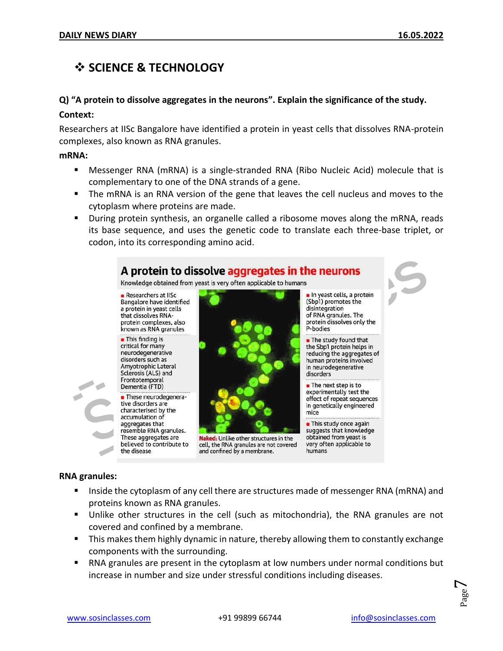## **SCIENCE & TECHNOLOGY**

#### **Q) "A protein to dissolve aggregates in the neurons". Explain the significance of the study.**

#### **Context:**

Researchers at IISc Bangalore have identified a protein in yeast cells that dissolves RNA-protein complexes, also known as RNA granules.

#### **mRNA:**

- Messenger RNA (mRNA) is a single-stranded RNA (Ribo Nucleic Acid) molecule that is complementary to one of the DNA strands of a gene.
- **The mRNA is an RNA version of the gene that leaves the cell nucleus and moves to the** cytoplasm where proteins are made.
- During protein synthesis, an organelle called a ribosome moves along the mRNA, reads its base sequence, and uses the genetic code to translate each three-base triplet, or codon, into its corresponding amino acid.



#### **RNA granules:**

- Inside the cytoplasm of any cell there are structures made of messenger RNA (mRNA) and proteins known as RNA granules.
- Unlike other structures in the cell (such as mitochondria), the RNA granules are not covered and confined by a membrane.
- This makes them highly dynamic in nature, thereby allowing them to constantly exchange components with the surrounding.
- RNA granules are present in the cytoplasm at low numbers under normal conditions but increase in number and size under stressful conditions including diseases.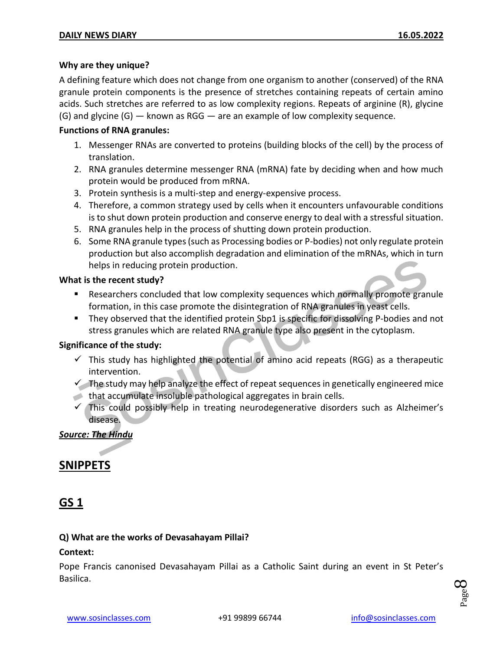#### **Why are they unique?**

A defining feature which does not change from one organism to another (conserved) of the RNA granule protein components is the presence of stretches containing repeats of certain amino acids. Such stretches are referred to as low complexity regions. Repeats of arginine (R), glycine  $(G)$  and glycine  $(G)$  — known as RGG — are an example of low complexity sequence.

#### **Functions of RNA granules:**

- 1. Messenger RNAs are converted to proteins (building blocks of the cell) by the process of translation.
- 2. RNA granules determine messenger RNA (mRNA) fate by deciding when and how much protein would be produced from mRNA.
- 3. Protein synthesis is a multi-step and energy-expensive process.
- 4. Therefore, a common strategy used by cells when it encounters unfavourable conditions is to shut down protein production and conserve energy to deal with a stressful situation.
- 5. RNA granules help in the process of shutting down protein production.
- 6. Some RNA granule types (such as Processing bodies or P-bodies) not only regulate protein production but also accomplish degradation and elimination of the mRNAs, which in turn helps in reducing protein production.

#### **What is the recent study?**

- Researchers concluded that low complexity sequences which normally promote granule formation, in this case promote the disintegration of RNA granules in yeast cells.
- They observed that the identified protein Sbp1 is specific for dissolving P-bodies and not stress granules which are related RNA granule type also present in the cytoplasm.

#### **Significance of the study:**

- $\checkmark$  This study has highlighted the potential of amino acid repeats (RGG) as a therapeutic intervention.
- $\checkmark$  The study may help analyze the effect of repeat sequences in genetically engineered mice that accumulate insoluble pathological aggregates in brain cells.
- $\checkmark$  This could possibly help in treating neurodegenerative disorders such as Alzheimer's disease.

#### *Source: The Hindu*

#### **SNIPPETS**

#### **GS 1**

#### **Q) What are the works of Devasahayam Pillai?**

#### **Context:**

Pope Francis canonised Devasahayam Pillai as a Catholic Saint during an event in St Peter's Basilica.

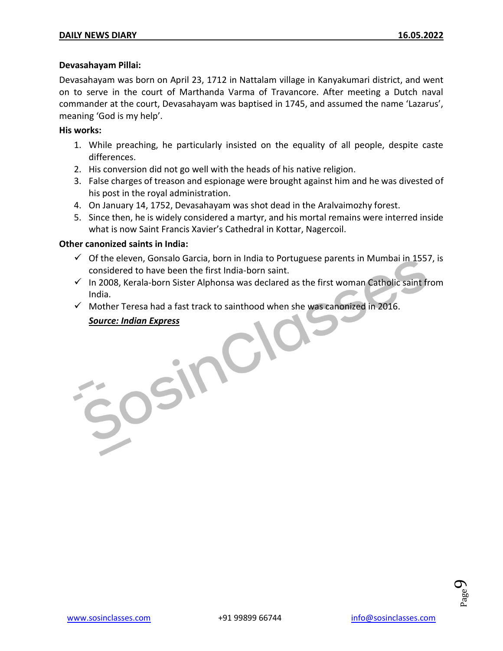#### **Devasahayam Pillai:**

Devasahayam was born on April 23, 1712 in Nattalam village in Kanyakumari district, and went on to serve in the court of Marthanda Varma of Travancore. After meeting a Dutch naval commander at the court, Devasahayam was baptised in 1745, and assumed the name 'Lazarus', meaning 'God is my help'.

#### **His works:**

- 1. While preaching, he particularly insisted on the equality of all people, despite caste differences.
- 2. His conversion did not go well with the heads of his native religion.
- 3. False charges of treason and espionage were brought against him and he was divested of his post in the royal administration.
- 4. On January 14, 1752, Devasahayam was shot dead in the Aralvaimozhy forest.
- 5. Since then, he is widely considered a martyr, and his mortal remains were interred inside what is now Saint Francis Xavier's Cathedral in Kottar, Nagercoil.

#### **Other canonized saints in India:**

- $\checkmark$  Of the eleven, Gonsalo Garcia, born in India to Portuguese parents in Mumbai in 1557, is considered to have been the first India-born saint.
- In 2008, Kerala-born Sister Alphonsa was declared as the first woman Catholic saint from<br>India.<br>In Mother Teresa had a fast track to sainthood when she was canonized in 2016.<br>Source: Indian Express<br>In the Source: Indian Ex India.
- $\checkmark$  Mother Teresa had a fast track to sainthood when she was canonized in 2016.

#### *Source: Indian Express*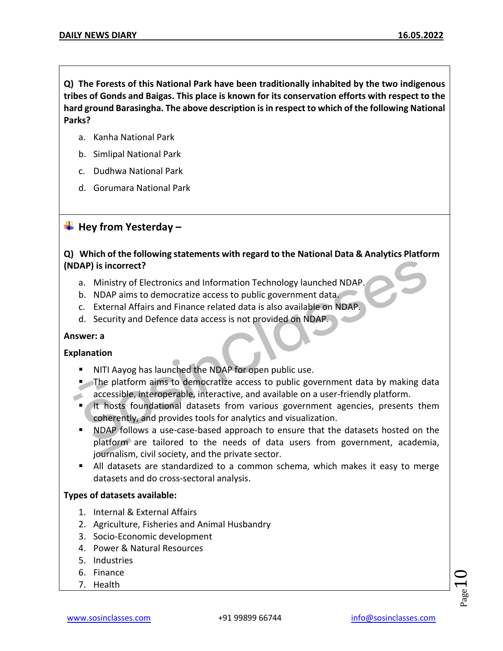**Q) The Forests of this National Park have been traditionally inhabited by the two indigenous tribes of Gonds and Baigas. This place is known for its conservation efforts with respect to the hard ground Barasingha. The above description is in respect to which of the following National Parks?** 

- a. Kanha National Park
- b. Simlipal National Park
- c. Dudhwa National Park
- d. Gorumara National Park

#### **Hey from Yesterday –**

#### **Q) Which of the following statements with regard to the National Data & Analytics Platform (NDAP) is incorrect?**

- a. Ministry of Electronics and Information Technology launched NDAP.
- b. NDAP aims to democratize access to public government data.
- c. External Affairs and Finance related data is also available on NDAP.
- d. Security and Defence data access is not provided on NDAP.

#### **Answer: a**

#### **Explanation**

- NITI Aayog has launched the NDAP for open public use.
- The platform aims to democratize access to public government data by making data accessible, interoperable, interactive, and available on a user-friendly platform.  $\mathcal{L}$ 
	- If it hosts foundational datasets from various government agencies, presents them coherently, and provides tools for analytics and visualization.
	- **NDAP** follows a use-case-based approach to ensure that the datasets hosted on the platform are tailored to the needs of data users from government, academia, journalism, civil society, and the private sector.
	- All datasets are standardized to a common schema, which makes it easy to merge datasets and do cross-sectoral analysis.

#### **Types of datasets available:**

- 1. Internal & External Affairs
- 2. Agriculture, Fisheries and Animal Husbandry
- 3. Socio-Economic development
- 4. Power & Natural Resources
- 5. Industries
- 6. Finance
- 7. Health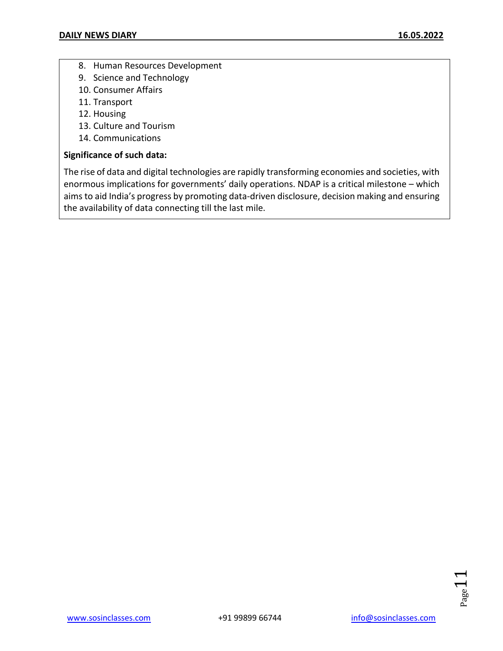- 8. Human Resources Development
- 9. Science and Technology
- 10. Consumer Affairs
- 11. Transport
- 12. Housing
- 13. Culture and Tourism
- 14. Communications

#### **Significance of such data:**

The rise of data and digital technologies are rapidly transforming economies and societies, with enormous implications for governments' daily operations. NDAP is a critical milestone – which aims to aid India's progress by promoting data-driven disclosure, decision making and ensuring the availability of data connecting till the last mile.

Page 1